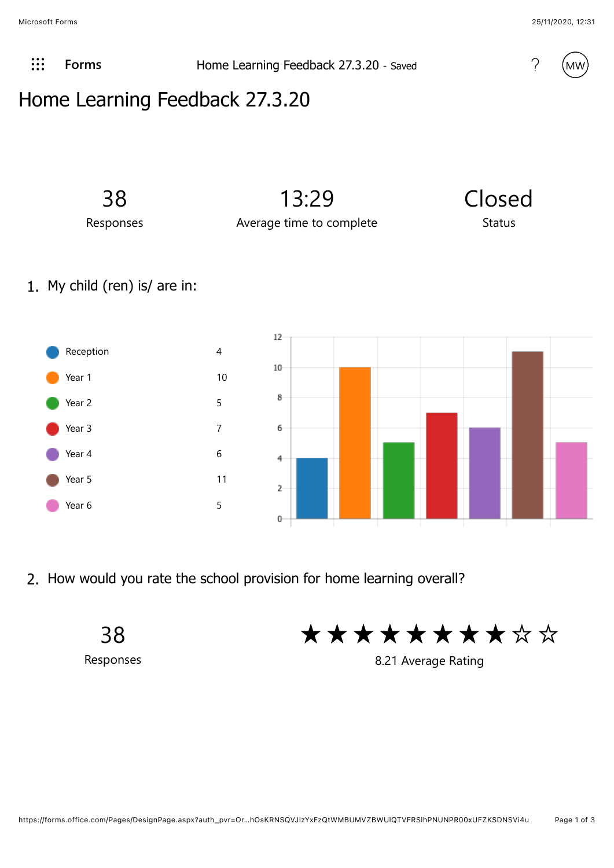Microsoft Forms 25/11/2020, 12:31

 $\therefore$  **[Forms](javascript:%20FormsOnHeaderAppNameClick()) Home Learning Feedback 27.3.20** - Saved **19.10** MW



## Home Learning Feedback 27.3.20



1. My child (ren) is/ are in:



2. How would you rate the school provision for home learning overall?

38 Responses

\* \* \* \* \* \* \* \* \*

8.21 Average Rating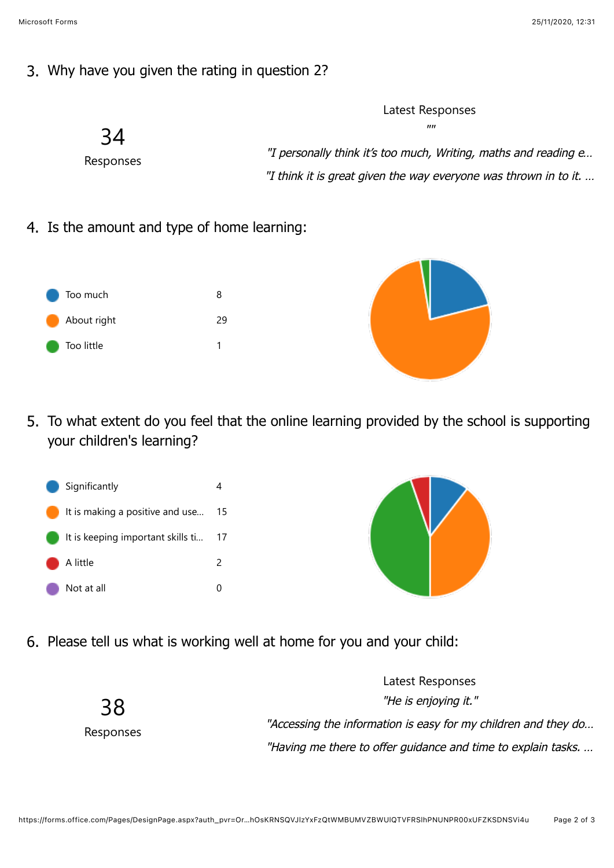## 3. Why have you given the rating in question 2?



4. Is the amount and type of home learning:



5. To what extent do you feel that the online learning provided by the school is supporting your children's learning?





6. Please tell us what is working well at home for you and your child: